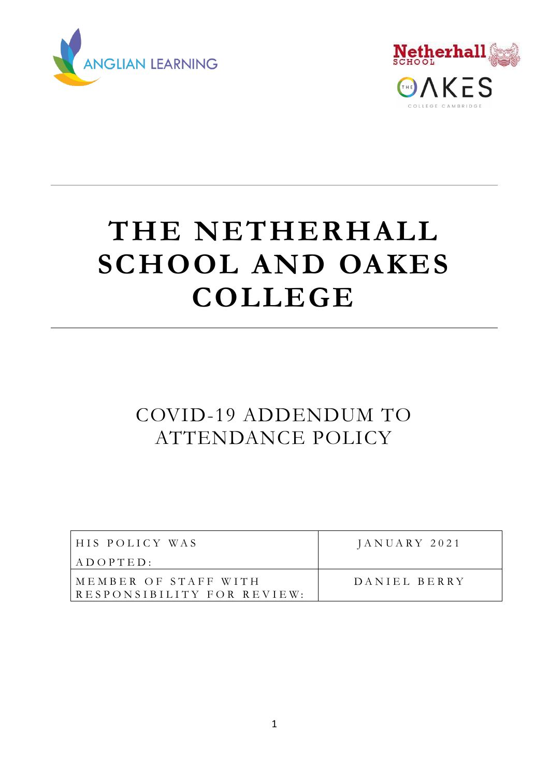



# **THE NETHERHALL SCHOOL AND OAKES COLLEGE**

# COVID-19 ADDENDUM TO ATTENDANCE POLICY

| HIS POLICY WAS                                      | $JANUARY$ 2021 |
|-----------------------------------------------------|----------------|
| $A\,$ D $O\,$ P $T\,$ E D :                         |                |
| IMEMBER OF STAFF WITH<br>RESPONSIBILITY FOR REVIEW: | DANIEL BERRY   |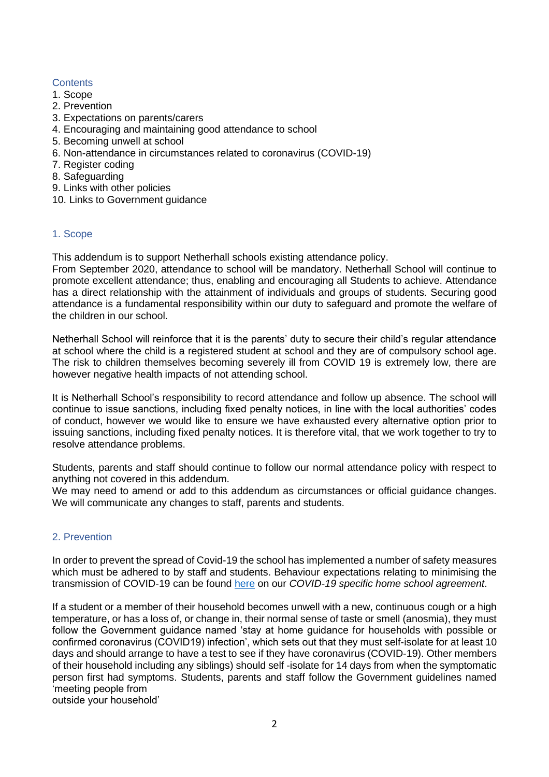# **Contents**

- 1. Scope
- 2. Prevention
- 3. Expectations on parents/carers
- 4. Encouraging and maintaining good attendance to school
- 5. Becoming unwell at school
- 6. Non-attendance in circumstances related to coronavirus (COVID-19)
- 7. Register coding
- 8. Safeguarding
- 9. Links with other policies
- 10. Links to Government guidance

# 1. Scope

This addendum is to support Netherhall schools existing attendance policy.

From September 2020, attendance to school will be mandatory. Netherhall School will continue to promote excellent attendance; thus, enabling and encouraging all Students to achieve. Attendance has a direct relationship with the attainment of individuals and groups of students. Securing good attendance is a fundamental responsibility within our duty to safeguard and promote the welfare of the children in our school.

Netherhall School will reinforce that it is the parents' duty to secure their child's regular attendance at school where the child is a registered student at school and they are of compulsory school age. The risk to children themselves becoming severely ill from COVID 19 is extremely low, there are however negative health impacts of not attending school.

It is Netherhall School's responsibility to record attendance and follow up absence. The school will continue to issue sanctions, including fixed penalty notices, in line with the local authorities' codes of conduct, however we would like to ensure we have exhausted every alternative option prior to issuing sanctions, including fixed penalty notices. It is therefore vital, that we work together to try to resolve attendance problems.

Students, parents and staff should continue to follow our normal attendance policy with respect to anything not covered in this addendum.

We may need to amend or add to this addendum as circumstances or official guidance changes. We will communicate any changes to staff, parents and students.

# 2. Prevention

In order to prevent the spread of Covid-19 the school has implemented a number of safety measures which must be adhered to by staff and students. Behaviour expectations relating to minimising the transmission of COVID-19 can be found [here](https://www.netherhall.org/covid-19-information/home-school-agreement/) on our *COVID-19 specific home school agreement*.

If a student or a member of their household becomes unwell with a new, continuous cough or a high temperature, or has a loss of, or change in, their normal sense of taste or smell (anosmia), they must follow the Government guidance named 'stay at home guidance for households with possible or confirmed coronavirus (COVID19) infection', which sets out that they must self-isolate for at least 10 days and should arrange to have a test to see if they have coronavirus (COVID-19). Other members of their household including any siblings) should self -isolate for 14 days from when the symptomatic person first had symptoms. Students, parents and staff follow the Government guidelines named 'meeting people from

outside your household'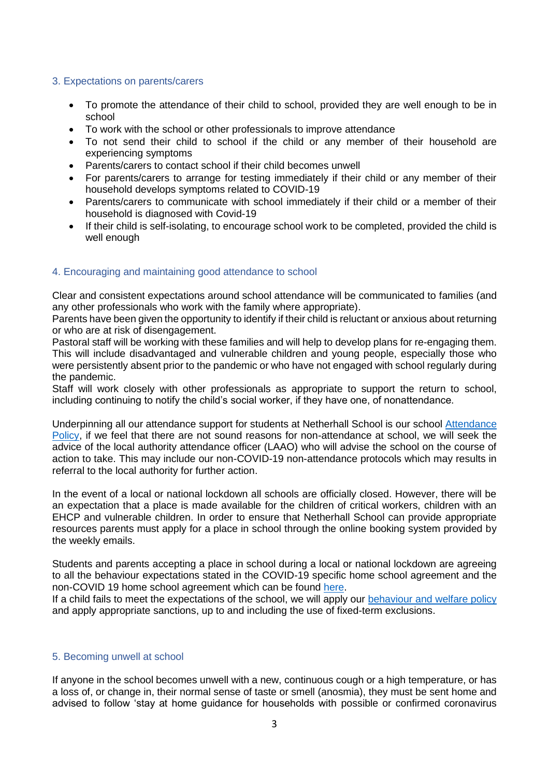#### 3. Expectations on parents/carers

- To promote the attendance of their child to school, provided they are well enough to be in school
- To work with the school or other professionals to improve attendance
- To not send their child to school if the child or any member of their household are experiencing symptoms
- Parents/carers to contact school if their child becomes unwell
- For parents/carers to arrange for testing immediately if their child or any member of their household develops symptoms related to COVID-19
- Parents/carers to communicate with school immediately if their child or a member of their household is diagnosed with Covid-19
- If their child is self-isolating, to encourage school work to be completed, provided the child is well enough

# 4. Encouraging and maintaining good attendance to school

Clear and consistent expectations around school attendance will be communicated to families (and any other professionals who work with the family where appropriate).

Parents have been given the opportunity to identify if their child is reluctant or anxious about returning or who are at risk of disengagement.

Pastoral staff will be working with these families and will help to develop plans for re-engaging them. This will include disadvantaged and vulnerable children and young people, especially those who were persistently absent prior to the pandemic or who have not engaged with school regularly during the pandemic.

Staff will work closely with other professionals as appropriate to support the return to school, including continuing to notify the child's social worker, if they have one, of nonattendance.

Underpinning all our attendance support for students at Netherhall School is our school [Attendance](https://www.netherhall.org/school-information/school-policies/)  [Policy,](https://www.netherhall.org/school-information/school-policies/) if we feel that there are not sound reasons for non-attendance at school, we will seek the advice of the local authority attendance officer (LAAO) who will advise the school on the course of action to take. This may include our non-COVID-19 non-attendance protocols which may results in referral to the local authority for further action.

In the event of a local or national lockdown all schools are officially closed. However, there will be an expectation that a place is made available for the children of critical workers, children with an EHCP and vulnerable children. In order to ensure that Netherhall School can provide appropriate resources parents must apply for a place in school through the online booking system provided by the weekly emails.

Students and parents accepting a place in school during a local or national lockdown are agreeing to all the behaviour expectations stated in the COVID-19 specific home school agreement and the non-COVID 19 home school agreement which can be found [here.](https://www.netherhall.org/covid-19-information/home-school-agreement/)

If a child fails to meet the expectations of the school, we will apply our [behaviour and welfare policy](https://www.netherhall.org/school-information/school-policies/) and apply appropriate sanctions, up to and including the use of fixed-term exclusions.

#### 5. Becoming unwell at school

If anyone in the school becomes unwell with a new, continuous cough or a high temperature, or has a loss of, or change in, their normal sense of taste or smell (anosmia), they must be sent home and advised to follow 'stay at home guidance for households with possible or confirmed coronavirus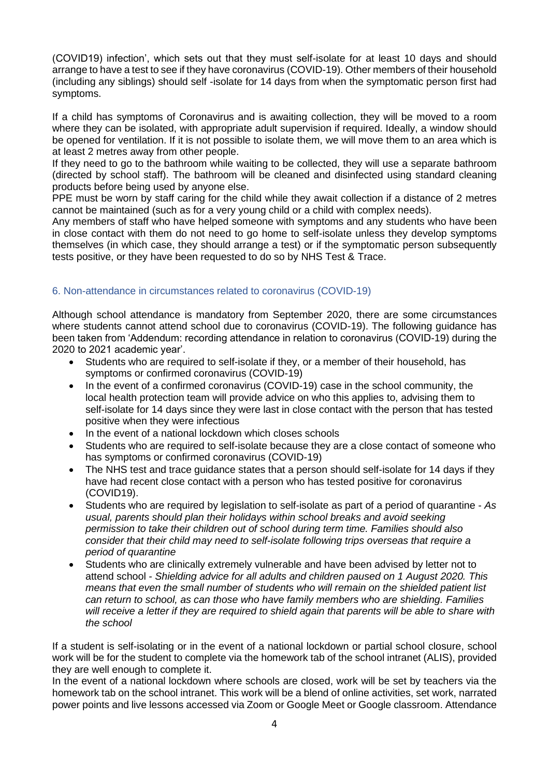(COVID19) infection', which sets out that they must self-isolate for at least 10 days and should arrange to have a test to see if they have coronavirus (COVID-19). Other members of their household (including any siblings) should self -isolate for 14 days from when the symptomatic person first had symptoms.

If a child has symptoms of Coronavirus and is awaiting collection, they will be moved to a room where they can be isolated, with appropriate adult supervision if required. Ideally, a window should be opened for ventilation. If it is not possible to isolate them, we will move them to an area which is at least 2 metres away from other people.

If they need to go to the bathroom while waiting to be collected, they will use a separate bathroom (directed by school staff). The bathroom will be cleaned and disinfected using standard cleaning products before being used by anyone else.

PPE must be worn by staff caring for the child while they await collection if a distance of 2 metres cannot be maintained (such as for a very young child or a child with complex needs).

Any members of staff who have helped someone with symptoms and any students who have been in close contact with them do not need to go home to self-isolate unless they develop symptoms themselves (in which case, they should arrange a test) or if the symptomatic person subsequently tests positive, or they have been requested to do so by NHS Test & Trace.

# 6. Non-attendance in circumstances related to coronavirus (COVID-19)

Although school attendance is mandatory from September 2020, there are some circumstances where students cannot attend school due to coronavirus (COVID-19). The following guidance has been taken from 'Addendum: recording attendance in relation to coronavirus (COVID-19) during the 2020 to 2021 academic year'.

- Students who are required to self-isolate if they, or a member of their household, has symptoms or confirmed coronavirus (COVID-19)
- In the event of a confirmed coronavirus (COVID-19) case in the school community, the local health protection team will provide advice on who this applies to, advising them to self-isolate for 14 days since they were last in close contact with the person that has tested positive when they were infectious
- In the event of a national lockdown which closes schools
- Students who are required to self-isolate because they are a close contact of someone who has symptoms or confirmed coronavirus (COVID-19)
- The NHS test and trace guidance states that a person should self-isolate for 14 days if they have had recent close contact with a person who has tested positive for coronavirus (COVID19).
- Students who are required by legislation to self-isolate as part of a period of quarantine *As usual, parents should plan their holidays within school breaks and avoid seeking permission to take their children out of school during term time. Families should also consider that their child may need to self-isolate following trips overseas that require a period of quarantine*
- Students who are clinically extremely vulnerable and have been advised by letter not to attend school *- Shielding advice for all adults and children paused on 1 August 2020. This means that even the small number of students who will remain on the shielded patient list can return to school, as can those who have family members who are shielding. Families will receive a letter if they are required to shield again that parents will be able to share with the school*

If a student is self-isolating or in the event of a national lockdown or partial school closure, school work will be for the student to complete via the homework tab of the school intranet (ALIS), provided they are well enough to complete it.

In the event of a national lockdown where schools are closed, work will be set by teachers via the homework tab on the school intranet. This work will be a blend of online activities, set work, narrated power points and live lessons accessed via Zoom or Google Meet or Google classroom. Attendance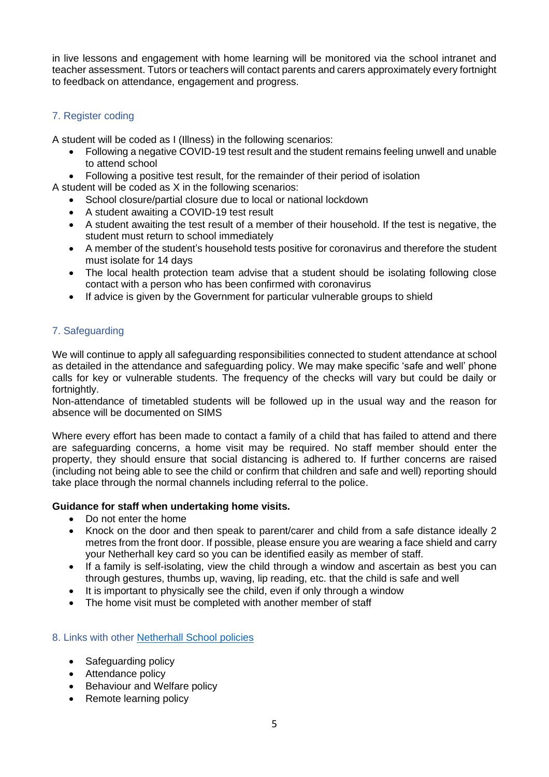in live lessons and engagement with home learning will be monitored via the school intranet and teacher assessment. Tutors or teachers will contact parents and carers approximately every fortnight to feedback on attendance, engagement and progress.

# 7. Register coding

A student will be coded as I (Illness) in the following scenarios:

- Following a negative COVID-19 test result and the student remains feeling unwell and unable to attend school
- Following a positive test result, for the remainder of their period of isolation

A student will be coded as X in the following scenarios:

- School closure/partial closure due to local or national lockdown
- A student awaiting a COVID-19 test result
- A student awaiting the test result of a member of their household. If the test is negative, the student must return to school immediately
- A member of the student's household tests positive for coronavirus and therefore the student must isolate for 14 days
- The local health protection team advise that a student should be isolating following close contact with a person who has been confirmed with coronavirus
- If advice is given by the Government for particular vulnerable groups to shield

# 7. Safeguarding

We will continue to apply all safeguarding responsibilities connected to student attendance at school as detailed in the attendance and safeguarding policy. We may make specific 'safe and well' phone calls for key or vulnerable students. The frequency of the checks will vary but could be daily or fortnightly.

Non-attendance of timetabled students will be followed up in the usual way and the reason for absence will be documented on SIMS

Where every effort has been made to contact a family of a child that has failed to attend and there are safeguarding concerns, a home visit may be required. No staff member should enter the property, they should ensure that social distancing is adhered to. If further concerns are raised (including not being able to see the child or confirm that children and safe and well) reporting should take place through the normal channels including referral to the police.

# **Guidance for staff when undertaking home visits.**

- Do not enter the home
- Knock on the door and then speak to parent/carer and child from a safe distance ideally 2 metres from the front door. If possible, please ensure you are wearing a face shield and carry your Netherhall key card so you can be identified easily as member of staff.
- If a family is self-isolating, view the child through a window and ascertain as best you can through gestures, thumbs up, waving, lip reading, etc. that the child is safe and well
- It is important to physically see the child, even if only through a window
- The home visit must be completed with another member of staff

# 8. Links with other [Netherhall School policies](https://www.netherhall.org/school-information/school-policies/)

- Safeguarding policy
- Attendance policy
- Behaviour and Welfare policy
- Remote learning policy